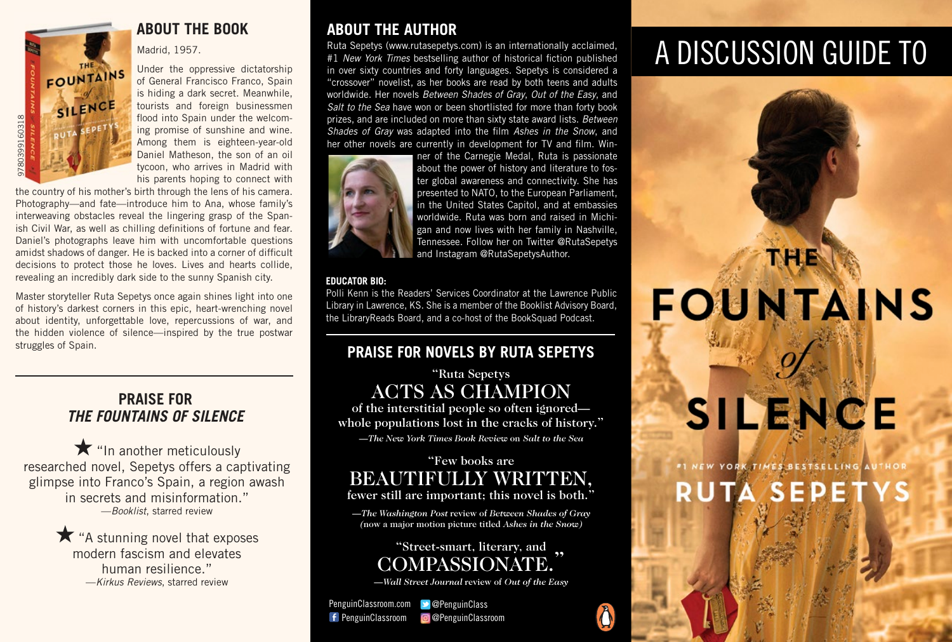

Madrid, 1957.

Under the oppressive dictatorship of General Francisco Franco, Spain is hiding a dark secret. Meanwhile, tourists and foreign businessmen flood into Spain under the welcoming promise of sunshine and wine. Among them is eighteen-year-old Daniel Matheson, the son of an oil tycoon, who arrives in Madrid with his parents hoping to connect with

the country of his mother's birth through the lens of his camera. Photography—and fate—introduce him to Ana, whose family's interweaving obstacles reveal the lingering grasp of the Spanish Civil War, as well as chilling definitions of fortune and fear. Daniel's photographs leave him with uncomfortable questions amidst shadows of danger. He is backed into a corner of difficult decisions to protect those he loves. Lives and hearts collide, revealing an incredibly dark side to the sunny Spanish city.

Master storyteller Ruta Sepetys once again shines light into one of history's darkest corners in this epic, heart-wrenching novel about identity, unforgettable love, repercussions of war, and the hidden violence of silence—inspired by the true postwar struggles of Spain.

### **PRAISE FOR** *THE FOUNTAINS OF SILENCE*

★"In another meticulously researched novel, Sepetys offers a captivating glimpse into Franco's Spain, a region awash in secrets and misinformation." —*Booklist*, starred review

> ★"A stunning novel that exposes modern fascism and elevates human resilience." —*Kirkus Reviews*, starred review

## **ABOUT THE BOOK ABOUT THE AUTHOR**

Ruta Sepetys (www.rutasepetys.com) is an internationally acclaimed, #1 *New York Times* bestselling author of historical fiction published in over sixty countries and forty languages. Sepetys is considered a "crossover" novelist, as her books are read by both teens and adults worldwide. Her novels *Between Shades of Gray*, *Out of the Easy*, and *Salt to the Sea* have won or been shortlisted for more than forty book prizes, and are included on more than sixty state award lists. *Between Shades of Gray* was adapted into the film *Ashes in the Snow*, and her other novels are currently in development for TV and film. Win-



ner of the Carnegie Medal, Ruta is passionate about the power of history and literature to foster global awareness and connectivity. She has presented to NATO, to the European Parliament, in the United States Capitol, and at embassies worldwide. Ruta was born and raised in Michigan and now lives with her family in Nashville, Tennessee. Follow her on Twitter @RutaSepetys and Instagram @RutaSepetysAuthor.

### **EDUCATOR BIO:**

Polli Kenn is the Readers' Services Coordinator at the Lawrence Public Library in Lawrence, KS. She is a member of the Booklist Advisory Board, the LibraryReads Board, and a co-host of the BookSquad Podcast.

### **PRAISE FOR NOVELS BY RUTA SEPETYS**

### "Ruta Sepetys ACTS AS CHAMPION

of the interstitial people so often ignored whole populations lost in the cracks of history."

*—The New York Times Book Review* on *Salt to the Sea*

# "Few books are BEAUTIFULLY WRITTEN,

fewer still are important; this novel is both."

*—The Washington Post* review of *Between Shades of Gray (*now a major motion picture titled *Ashes in the Snow)*

# "Street-smart, literary, and , COMPASSIONA

—*Wall Street Journal* review of *Out of the Easy*

f PenguinClassroom PenguinClassroom.com **D** @PenguinClass **@**PenguinClassroom

# A DISCUSSION GUIDE TO

# FOUNTAINS SILENCE

TN HIEN

NEW YORK TIMES BESTSELLING AU HO I **RUTA SEP**